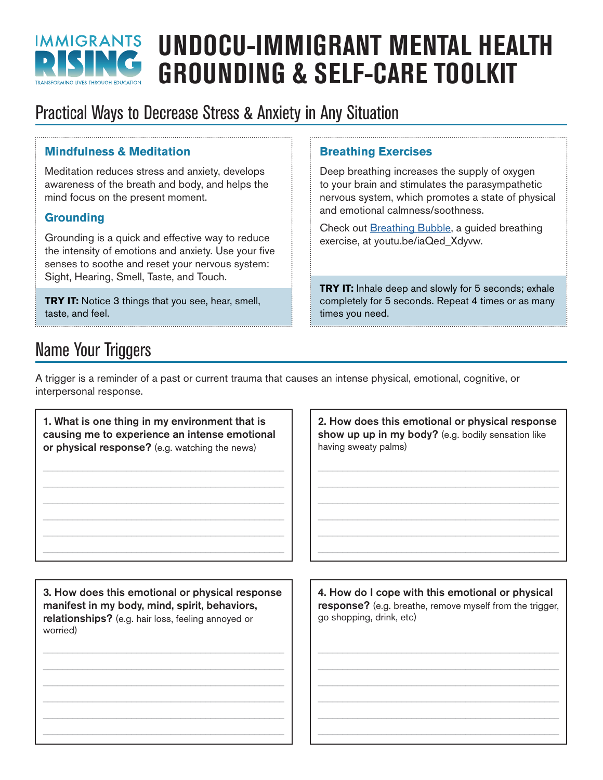

# **UNDOCU-IMMIGRANT MENTAL HEALTH GROUNDING & SELF-CARE TOOLKIT**

## Practical Ways to Decrease Stress & Anxiety in Any Situation

#### **Mindfulness & Meditation**

Meditation reduces stress and anxiety, develops awareness of the breath and body, and helps the mind focus on the present moment.

#### **Grounding**

Grounding is a quick and effective way to reduce the intensity of emotions and anxiety. Use your five senses to soothe and reset your nervous system: Sight, Hearing, Smell, Taste, and Touch.

**TRY IT:** Notice 3 things that you see, hear, smell, taste, and feel.

#### **Breathing Exercises**

Deep breathing increases the supply of oxygen to your brain and stimulates the parasympathetic nervous system, which promotes a state of physical and emotional calmness/soothness.

Check out [Breathing Bubble,](https://youtu.be/iaQed_Xdyvw) a guided breathing exercise, at [youtu.be/iaQed\\_Xdyvw.](https://youtu.be/iaQed_Xdyvw)

**TRY IT:** Inhale deep and slowly for 5 seconds; exhale completely for 5 seconds. Repeat 4 times or as many times you need.

## Name Your Triggers

A trigger is a reminder of a past or current trauma that causes an intense physical, emotional, cognitive, or interpersonal response.

1. What is one thing in my environment that is causing me to experience an intense emotional or physical response? (e.g. watching the news)

\_\_\_\_\_\_\_\_\_\_\_\_\_\_\_\_\_\_\_\_\_\_\_\_\_\_\_\_\_\_\_\_\_\_\_\_\_\_\_\_\_\_\_\_\_\_\_\_\_ \_\_\_\_\_\_\_\_\_\_\_\_\_\_\_\_\_\_\_\_\_\_\_\_\_\_\_\_\_\_\_\_\_\_\_\_\_\_\_\_\_\_\_\_\_\_\_\_\_ \_\_\_\_\_\_\_\_\_\_\_\_\_\_\_\_\_\_\_\_\_\_\_\_\_\_\_\_\_\_\_\_\_\_\_\_\_\_\_\_\_\_\_\_\_\_\_\_\_ \_\_\_\_\_\_\_\_\_\_\_\_\_\_\_\_\_\_\_\_\_\_\_\_\_\_\_\_\_\_\_\_\_\_\_\_\_\_\_\_\_\_\_\_\_\_\_\_\_ \_\_\_\_\_\_\_\_\_\_\_\_\_\_\_\_\_\_\_\_\_\_\_\_\_\_\_\_\_\_\_\_\_\_\_\_\_\_\_\_\_\_\_\_\_\_\_\_\_ \_\_\_\_\_\_\_\_\_\_\_\_\_\_\_\_\_\_\_\_\_\_\_\_\_\_\_\_\_\_\_\_\_\_\_\_\_\_\_\_\_\_\_\_\_\_\_\_\_ 2. How does this emotional or physical response show up up in my body? (e.g. bodily sensation like having sweaty palms)

 $\mathcal{L}_\text{max}$  , and the contract of the contract of the contract of the contract of the contract of the contract of the contract of the contract of the contract of the contract of the contract of the contract of the contr  $\overline{\phantom{a}}$  , and the contract of the contract of the contract of the contract of the contract of the contract of the contract of the contract of the contract of the contract of the contract of the contract of the contrac \_\_\_\_\_\_\_\_\_\_\_\_\_\_\_\_\_\_\_\_\_\_\_\_\_\_\_\_\_\_\_\_\_\_\_\_\_\_\_\_\_\_\_\_\_\_\_\_\_  $\mathcal{L}_\text{max}$  , and the contract of the contract of the contract of the contract of the contract of the contract of the contract of the contract of the contract of the contract of the contract of the contract of the contr  $\mathcal{L}_\text{max}$  , and the contract of the contract of the contract of the contract of the contract of the contract of the contract of the contract of the contract of the contract of the contract of the contract of the contr  $\overline{\phantom{a}}$  , and the contract of the contract of the contract of the contract of the contract of the contract of the contract of the contract of the contract of the contract of the contract of the contract of the contrac

3. How does this emotional or physical response manifest in my body, mind, spirit, behaviors, relationships? (e.g. hair loss, feeling annoyed or worried)

\_\_\_\_\_\_\_\_\_\_\_\_\_\_\_\_\_\_\_\_\_\_\_\_\_\_\_\_\_\_\_\_\_\_\_\_\_\_\_\_\_\_\_\_\_\_\_\_\_ \_\_\_\_\_\_\_\_\_\_\_\_\_\_\_\_\_\_\_\_\_\_\_\_\_\_\_\_\_\_\_\_\_\_\_\_\_\_\_\_\_\_\_\_\_\_\_\_\_ \_\_\_\_\_\_\_\_\_\_\_\_\_\_\_\_\_\_\_\_\_\_\_\_\_\_\_\_\_\_\_\_\_\_\_\_\_\_\_\_\_\_\_\_\_\_\_\_\_ \_\_\_\_\_\_\_\_\_\_\_\_\_\_\_\_\_\_\_\_\_\_\_\_\_\_\_\_\_\_\_\_\_\_\_\_\_\_\_\_\_\_\_\_\_\_\_\_\_ \_\_\_\_\_\_\_\_\_\_\_\_\_\_\_\_\_\_\_\_\_\_\_\_\_\_\_\_\_\_\_\_\_\_\_\_\_\_\_\_\_\_\_\_\_\_\_\_\_ \_\_\_\_\_\_\_\_\_\_\_\_\_\_\_\_\_\_\_\_\_\_\_\_\_\_\_\_\_\_\_\_\_\_\_\_\_\_\_\_\_\_\_\_\_\_\_\_\_ 4. How do I cope with this emotional or physical response? (e.g. breathe, remove myself from the trigger, go shopping, drink, etc)

\_\_\_\_\_\_\_\_\_\_\_\_\_\_\_\_\_\_\_\_\_\_\_\_\_\_\_\_\_\_\_\_\_\_\_\_\_\_\_\_\_\_\_\_\_\_\_\_\_  $\mathcal{L}_\text{max}$  , and the contract of the contract of the contract of the contract of the contract of the contract of the contract of the contract of the contract of the contract of the contract of the contract of the contr  $\mathcal{L}_\text{max}$  , and the contract of the contract of the contract of the contract of the contract of the contract of the contract of the contract of the contract of the contract of the contract of the contract of the contr  $\overline{\phantom{a}}$  , and the contract of the contract of the contract of the contract of the contract of the contract of the contract of the contract of the contract of the contract of the contract of the contract of the contrac \_\_\_\_\_\_\_\_\_\_\_\_\_\_\_\_\_\_\_\_\_\_\_\_\_\_\_\_\_\_\_\_\_\_\_\_\_\_\_\_\_\_\_\_\_\_\_\_\_  $\mathcal{L}_\text{max}$  , and the contract of the contract of the contract of the contract of the contract of the contract of the contract of the contract of the contract of the contract of the contract of the contract of the contr